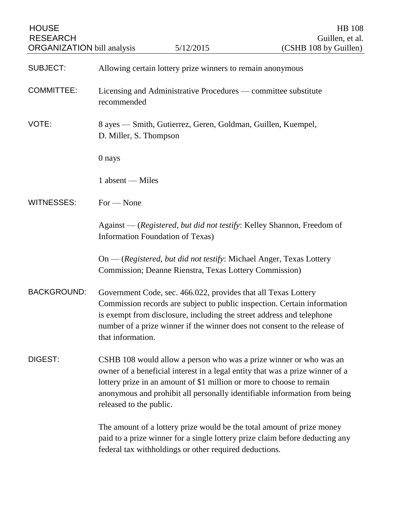| <b>HOUSE</b><br><b>RESEARCH</b><br><b>ORGANIZATION</b> bill analysis |                                                                               | 5/12/2015                                                                                                                               | <b>HB</b> 108<br>Guillen, et al.<br>(CSHB 108 by Guillen)                                                                                                                                                                        |
|----------------------------------------------------------------------|-------------------------------------------------------------------------------|-----------------------------------------------------------------------------------------------------------------------------------------|----------------------------------------------------------------------------------------------------------------------------------------------------------------------------------------------------------------------------------|
| <b>SUBJECT:</b>                                                      | Allowing certain lottery prize winners to remain anonymous                    |                                                                                                                                         |                                                                                                                                                                                                                                  |
| <b>COMMITTEE:</b>                                                    | Licensing and Administrative Procedures — committee substitute<br>recommended |                                                                                                                                         |                                                                                                                                                                                                                                  |
| VOTE:                                                                | D. Miller, S. Thompson                                                        | 8 ayes — Smith, Gutierrez, Geren, Goldman, Guillen, Kuempel,                                                                            |                                                                                                                                                                                                                                  |
|                                                                      | 0 nays                                                                        |                                                                                                                                         |                                                                                                                                                                                                                                  |
|                                                                      | 1 absent - Miles                                                              |                                                                                                                                         |                                                                                                                                                                                                                                  |
| <b>WITNESSES:</b>                                                    | $For - None$                                                                  |                                                                                                                                         |                                                                                                                                                                                                                                  |
|                                                                      |                                                                               | <b>Information Foundation of Texas)</b>                                                                                                 | Against — (Registered, but did not testify: Kelley Shannon, Freedom of                                                                                                                                                           |
|                                                                      |                                                                               | On - (Registered, but did not testify: Michael Anger, Texas Lottery<br>Commission; Deanne Rienstra, Texas Lottery Commission)           |                                                                                                                                                                                                                                  |
| <b>BACKGROUND:</b>                                                   | that information.                                                             | Government Code, sec. 466.022, provides that all Texas Lottery<br>is exempt from disclosure, including the street address and telephone | Commission records are subject to public inspection. Certain information<br>number of a prize winner if the winner does not consent to the release of                                                                            |
| DIGEST:                                                              | released to the public.                                                       | lottery prize in an amount of \$1 million or more to choose to remain                                                                   | CSHB 108 would allow a person who was a prize winner or who was an<br>owner of a beneficial interest in a legal entity that was a prize winner of a<br>anonymous and prohibit all personally identifiable information from being |
|                                                                      |                                                                               | federal tax withholdings or other required deductions.                                                                                  | The amount of a lottery prize would be the total amount of prize money<br>paid to a prize winner for a single lottery prize claim before deducting any                                                                           |